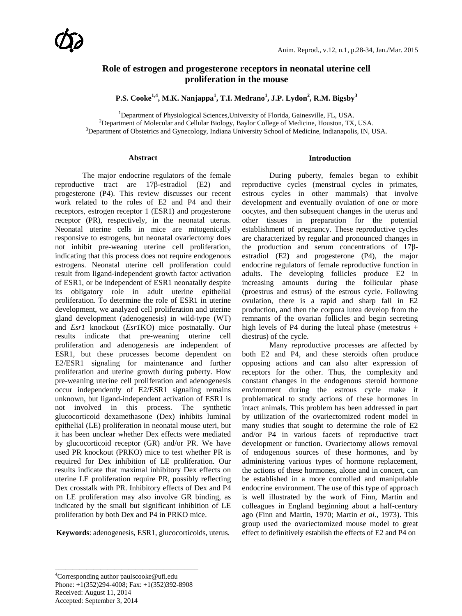# **Role of estrogen and progesterone receptors in neonatal uterine cell proliferation in the mouse**

**P.S. Cooke1,4 , M.K. Nanjappa<sup>1</sup> , T.I. Medrano<sup>1</sup> , J.P. Lydon2 , R.M. Bigsby<sup>3</sup>**

<sup>1</sup>Department of Physiological Sciences, University of Florida, Gainesville, FL, USA.<br><sup>2</sup>Department of Molecular and Cellular Biology, Baylor Cellage of Medicine, Houston, TX  $<sup>2</sup>$ Department of Molecular and Cellular Biology, Baylor College of Medicine, Houston, TX, USA.</sup>  ${}^{3}$ Department of Obstetrics and Gynecology, Indiana University School of Medicine, Indianapolis, IN, USA.

#### **Abstract**

The major endocrine regulators of the female reproductive tract are 17β-estradiol (E2) and progesterone (P4). This review discusses our recent work related to the roles of E2 and P4 and their receptors, estrogen receptor 1 (ESR1) and progesterone receptor (PR), respectively, in the neonatal uterus. Neonatal uterine cells in mice are mitogenically responsive to estrogens, but neonatal ovariectomy does not inhibit pre-weaning uterine cell proliferation, indicating that this process does not require endogenous estrogens. Neonatal uterine cell proliferation could result from ligand-independent growth factor activation of ESR1, or be independent of ESR1 neonatally despite its obligatory role in adult uterine epithelial proliferation. To determine the role of ESR1 in uterine development, we analyzed cell proliferation and uterine gland development (adenogenesis) in wild-type (WT) and *Esr1* knockout (*Esr1*KO) mice postnatally. Our results indicate that pre-weaning uterine cell proliferation and adenogenesis are independent of ESR1, but these processes become dependent on E2/ESR1 signaling for maintenance and further proliferation and uterine growth during puberty. How pre-weaning uterine cell proliferation and adenogenesis occur independently of E2/ESR1 signaling remains unknown, but ligand-independent activation of ESR1 is not involved in this process. The synthetic glucocorticoid dexamethasone (Dex) inhibits luminal epithelial (LE) proliferation in neonatal mouse uteri, but it has been unclear whether Dex effects were mediated by glucocorticoid receptor (GR) and/or PR. We have used PR knockout (PRKO) mice to test whether PR is required for Dex inhibition of LE proliferation. Our results indicate that maximal inhibitory Dex effects on uterine LE proliferation require PR, possibly reflecting Dex crosstalk with PR. Inhibitory effects of Dex and P4 on LE proliferation may also involve GR binding, as indicated by the small but significant inhibition of LE proliferation by both Dex and P4 in PRKO mice.

**Keywords**: adenogenesis, ESR1, glucocorticoids, uterus.

#### **Introduction**

During puberty, females began to exhibit reproductive cycles (menstrual cycles in primates, estrous cycles in other mammals) that involve development and eventually ovulation of one or more oocytes, and then subsequent changes in the uterus and other tissues in preparation for the potential establishment of pregnancy. These reproductive cycles are characterized by regular and pronounced changes in the production and serum concentrations of 17βestradiol (E2**)** and progesterone (P4), the major endocrine regulators of female reproductive function in adults. The developing follicles produce E2 in increasing amounts during the follicular phase (proestrus and estrus) of the estrous cycle. Following ovulation, there is a rapid and sharp fall in E2 production, and then the corpora lutea develop from the remnants of the ovarian follicles and begin secreting high levels of P4 during the luteal phase (metestrus + diestrus) of the cycle.

Many reproductive processes are affected by both E2 and P4, and these steroids often produce opposing actions and can also alter expression of receptors for the other. Thus, the complexity and constant changes in the endogenous steroid hormone environment during the estrous cycle make it problematical to study actions of these hormones in intact animals. This problem has been addressed in part by utilization of the ovariectomized rodent model in many studies that sought to determine the role of E2 and/or P4 in various facets of reproductive tract development or function. Ovariectomy allows removal of endogenous sources of these hormones, and by administering various types of hormone replacement, the actions of these hormones, alone and in concert, can be established in a more controlled and manipulable endocrine environment. The use of this type of approach is well illustrated by the work of Finn, Martin and colleagues in England beginning about a half-century ago [\(Finn and Martin, 1970;](#page-6-0) [Martin](#page-6-1) *et al*., 1973). This group used the ovariectomized mouse model to great effect to definitively establish the effects of E2 and P4 on

\_\_\_\_\_\_\_\_\_\_\_\_\_\_\_\_\_\_\_\_\_\_\_\_\_\_\_\_\_\_\_\_\_\_\_\_\_\_\_\_\_

<sup>4</sup> Corresponding author paulscooke@ufl.edu Phone: +1(352)294-4008; Fax: +1(352)392-8908 Received: August 11, 2014 Accepted: September 3, 2014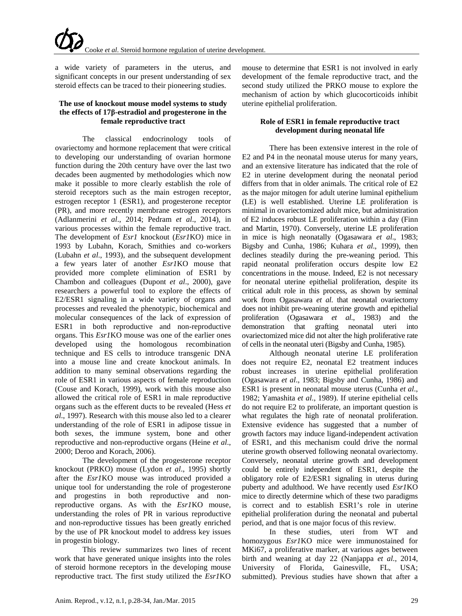a wide variety of parameters in the uterus, and significant concepts in our present understanding of sex steroid effects can be traced to their pioneering studies.

### **The use of knockout mouse model systems to study the effects of 17β-estradiol and progesterone in the female reproductive tract**

The classical endocrinology tools of ovariectomy and hormone replacement that were critical to developing our understanding of ovarian hormone function during the 20th century have over the last two decades been augmented by methodologies which now make it possible to more clearly establish the role of steroid receptors such as the main estrogen receptor, estrogen receptor 1 (ESR1), and progesterone receptor (PR), and more recently membrane estrogen receptors [\(Adlanmerini](#page-5-0) *et al*., 2014; [Pedram](#page-6-2) *et al*., 2014), in various processes within the female reproductive tract. The development of *Esr1* knockout (*Esr1*KO) mice in 1993 by Lubahn, Korach, Smithies and co-workers [\(Lubahn](#page-6-3) *et al*., 1993), and the subsequent development a few years later of another *Esr1*KO mouse that provided more complete elimination of ESR1 by Chambon and colleagues [\(Dupont](#page-6-4) *et al*., 2000), gave researchers a powerful tool to explore the effects of E2/ESR1 signaling in a wide variety of organs and processes and revealed the phenotypic, biochemical and molecular consequences of the lack of expression of ESR1 in both reproductive and non-reproductive organs. This *Esr1*KO mouse was one of the earlier ones developed using the homologous recombination technique and ES cells to introduce transgenic DNA into a mouse line and create knockout animals. In addition to many seminal observations regarding the role of ESR1 in various aspects of female reproduction [\(Couse and Korach, 1999\)](#page-5-1), work with this mouse also allowed the critical role of ESR1 in male reproductive organs such as the efferent ducts to be revealed [\(Hess](#page-6-5) *et al*[., 1997\)](#page-6-5). Research with this mouse also led to a clearer understanding of the role of ESR1 in adipose tissue in both sexes, the immune system, bone and other reproductive and non-reproductive organs [\(Heine](#page-6-6) *et al*., [2000;](#page-6-6) [Deroo and Korach, 2006\)](#page-5-2).

The development of the progesterone receptor knockout (PRKO) mouse (Lydon *et al*[., 1995\)](#page-6-7) shortly after the *Esr1*KO mouse was introduced provided a unique tool for understanding the role of progesterone and progestins in both reproductive and nonreproductive organs. As with the *Esr1*KO mouse, understanding the roles of PR in various reproductive and non-reproductive tissues has been greatly enriched by the use of PR knockout model to address key issues in progestin biology.

This review summarizes two lines of recent work that have generated unique insights into the roles of steroid hormone receptors in the developing mouse reproductive tract. The first study utilized the *Esr1*KO mouse to determine that ESR1 is not involved in early development of the female reproductive tract, and the second study utilized the PRKO mouse to explore the mechanism of action by which glucocorticoids inhibit uterine epithelial proliferation.

# **Role of ESR1 in female reproductive tract development during neonatal life**

There has been extensive interest in the role of E2 and P4 in the neonatal mouse uterus for many years, and an extensive literature has indicated that the role of E2 in uterine development during the neonatal period differs from that in older animals. The critical role of E2 as the major mitogen for adult uterine luminal epithelium (LE) is well established. Uterine LE proliferation is minimal in ovariectomized adult mice, but administration of E2 induces robust LE proliferation within a day [\(Finn](#page-6-0)  [and Martin, 1970\)](#page-6-0). Conversely, uterine LE proliferation in mice is high neonatally [\(Ogasawara](#page-6-8) *et al*., 1983; [Bigsby and Cunha, 1986;](#page-5-3) [Kuhara](#page-6-9) *et al*., 1999), then declines steadily during the pre-weaning period. This rapid neonatal proliferation occurs despite low E2 concentrations in the mouse. Indeed, E2 is not necessary for neonatal uterine epithelial proliferation, despite its critical adult role in this process, as shown by seminal work from Ogasawara *et al*. that neonatal ovariectomy does not inhibit pre-weaning uterine growth and epithelial proliferation [\(Ogasawara](#page-6-8) *et al*., 1983) and the demonstration that grafting neonatal uteri into ovariectomized mice did not alter the high proliferative rate of cells in the neonatal uteri [\(Bigsby and Cunha, 1985\)](#page-5-4).

Although neonatal uterine LE proliferation does not require E2, neonatal E2 treatment induces robust increases in uterine epithelial proliferation [\(Ogasawara](#page-6-8) *et al*., 1983; [Bigsby and Cunha, 1986\)](#page-5-3) and ESR1 is present in neonatal mouse uterus [\(Cunha](#page-5-5) *et al*., [1982;](#page-5-5) [Yamashita](#page-6-10) *et al*., 1989). If uterine epithelial cells do not require E2 to proliferate, an important question is what regulates the high rate of neonatal proliferation. Extensive evidence has suggested that a number of growth factors may induce ligand-independent activation of ESR1, and this mechanism could drive the normal uterine growth observed following neonatal ovariectomy. Conversely, neonatal uterine growth and development could be entirely independent of ESR1, despite the obligatory role of E2/ESR1 signaling in uterus during puberty and adulthood. We have recently used *Esr1*KO mice to directly determine which of these two paradigms is correct and to establish ESR1's role in uterine epithelial proliferation during the neonatal and pubertal period, and that is one major focus of this review.

In these studies, uteri from WT and homozygous *Esr1*KO mice were immunostained for MKi67, a proliferative marker, at various ages between birth and weaning at day 22 (Nanjappa *et al*., 2014, University of Florida, Gainesville, FL, USA; submitted). Previous studies have shown that after a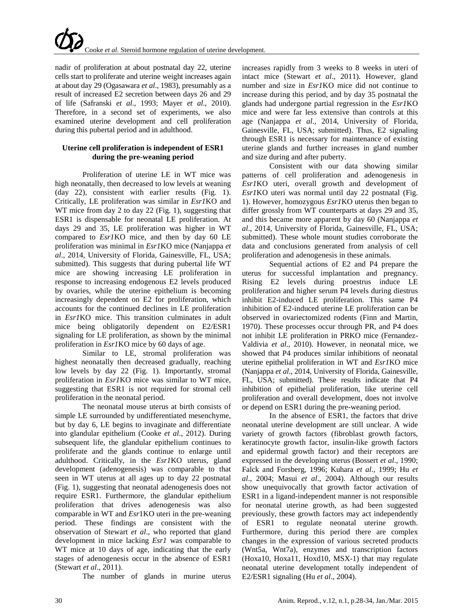nadir of proliferation at about postnatal day 22, uterine cells start to proliferate and uterine weight increases again at about day 29 [\(Ogasawara](#page-6-8) *et al*., 1983), presumably as a result of increased E2 secretion between days 26 and 29 of life [\(Safranski](#page-6-11) *et al*., 1993; Mayer *et al*[., 2010\)](#page-6-12). Therefore, in a second set of experiments, we also examined uterine development and cell proliferation during this pubertal period and in adulthood.

### **Uterine cell proliferation is independent of ESR1 during the pre-weaning period**

Proliferation of uterine LE in WT mice was high neonatally, then decreased to low levels at weaning (day 22), consistent with earlier results (Fig. 1). Critically, LE proliferation was similar in *Esr1*KO and WT mice from day 2 to day 22 (Fig. 1), suggesting that ESR1 is dispensable for neonatal LE proliferation. At days 29 and 35, LE proliferation was higher in WT compared to *Esr1*KO mice, and then by day 60 LE proliferation was minimal in *Esr1*KO mice (Nanjappa *et al*., 2014, University of Florida, Gainesville, FL, USA; submitted). This suggests that during pubertal life WT mice are showing increasing LE proliferation in response to increasing endogenous E2 levels produced by ovaries, while the uterine epithelium is becoming increasingly dependent on E2 for proliferation, which accounts for the continued declines in LE proliferation in *Esr1*KO mice. This transition culminates in adult mice being obligatorily dependent on E2/ESR1 signaling for LE proliferation, as shown by the minimal proliferation in *Esr1*KO mice by 60 days of age.

Similar to LE, stromal proliferation was highest neonatally then decreased gradually, reaching low levels by day 22 (Fig. 1). Importantly, stromal proliferation in *Esr1*KO mice was similar to WT mice, suggesting that ESR1 is not required for stromal cell proliferation in the neonatal period.

The neonatal mouse uterus at birth consists of simple LE surrounded by undifferentiated mesenchyme, but by day 6, LE begins to invaginate and differentiate into glandular epithelium (Cooke *et al*[., 2012\)](#page-5-6). During subsequent life, the glandular epithelium continues to proliferate and the glands continue to enlarge until adulthood. Critically, in the *Esr1*KO uterus, gland development (adenogenesis) was comparable to that seen in WT uterus at all ages up to day 22 postnatal (Fig. 1), suggesting that neonatal adenogenesis does not require ESR1. Furthermore, the glandular epithelium proliferation that drives adenogenesis was also comparable in WT and *Esr*1KO uteri in the pre-weaning period. These findings are consistent with the observation of Stewart *et al*., who reported that gland development in mice lacking *Esr1* was comparable to WT mice at 10 days of age, indicating that the early stages of adenogenesis occur in the absence of ESR1 [\(Stewart](#page-6-13) *et al*., 2011).

The number of glands in murine uterus

increases rapidly from 3 weeks to 8 weeks in uteri of intact mice [\(Stewart](#page-6-13) *et al*., 2011). However, gland number and size in *Esr1*KO mice did not continue to increase during this period, and by day 35 postnatal the glands had undergone partial regression in the *Esr1*KO mice and were far less extensive than controls at this age (Nanjappa *et al*., 2014, University of Florida, Gainesville, FL, USA; submitted). Thus, E2 signaling through ESR1 is necessary for maintenance of existing uterine glands and further increases in gland number and size during and after puberty.

Consistent with our data showing similar patterns of cell proliferation and adenogenesis in *Esr1*KO uteri, overall growth and development of *Esr1*KO uteri was normal until day 22 postnatal (Fig. 1). However, homozygous *Esr1*KO uterus then began to differ grossly from WT counterparts at days 29 and 35, and this became more apparent by day 60 (Nanjappa *et al*., 2014, University of Florida, Gainesville, FL, USA; submitted). These whole mount studies corroborate the data and conclusions generated from analysis of cell proliferation and adenogenesis in these animals.

Sequential actions of E2 and P4 prepare the uterus for successful implantation and pregnancy. Rising E2 levels during proestrus induce LE proliferation and higher serum P4 levels during diestrus inhibit E2-induced LE proliferation. This same P4 inhibition of E2-induced uterine LE proliferation can be observed in ovariectomized rodents [\(Finn and Martin,](#page-6-0)  [1970\)](#page-6-0). These processes occur through PR, and P4 does not inhibit LE proliferation in PRKO mice [\(Fernandez-](#page-6-14)[Valdivia](#page-6-14) *et al*., 2010). However, in neonatal mice, we showed that P4 produces similar inhibitions of neonatal uterine epithelial proliferation in WT and *Esr1*KO mice (Nanjappa *et al*., 2014, University of Florida, Gainesville, FL, USA; submitted). These results indicate that P4 inhibition of epithelial proliferation, like uterine cell proliferation and overall development, does not involve or depend on ESR1 during the pre-weaning period.

In the absence of ESR1, the factors that drive neonatal uterine development are still unclear. A wide variety of growth factors (fibroblast growth factors, keratinocyte growth factor, insulin-like growth factors and epidermal growth factor) and their receptors are expressed in the developing uterus [\(Bossert](#page-5-7) *et al*., 1990; [Falck and Forsberg, 1996;](#page-6-15) [Kuhara](#page-6-9) *et al*., 1999; [Hu](#page-6-16) *et al*[., 2004;](#page-6-16) Masui *et al*[., 2004\)](#page-6-17). Although our results show unequivocally that growth factor activation of ESR1 in a ligand-independent manner is not responsible for neonatal uterine growth, as had been suggested previously, these growth factors may act independently of ESR1 to regulate neonatal uterine growth. Furthermore, during this period there are complex changes in the expression of various secreted products (Wnt5a, Wnt7a), enzymes and transcription factors (Hoxa10, Hoxa11, Hoxd10, MSX-1) that may regulate neonatal uterine development totally independent of E2/ESR1 signaling (Hu *et al*[., 2004\)](#page-6-16).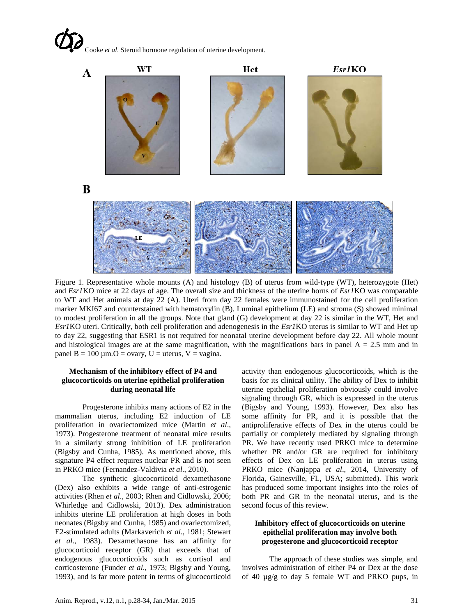

Figure 1. Representative whole mounts (A) and histology (B) of uterus from wild-type (WT), heterozygote (Het) and *Esr1*KO mice at 22 days of age. The overall size and thickness of the uterine horns of *Esr1*KO was comparable to WT and Het animals at day 22 (A). Uteri from day 22 females were immunostained for the cell proliferation marker MKI67 and counterstained with hematoxylin (B). Luminal epithelium (LE) and stroma (S) showed minimal to modest proliferation in all the groups. Note that gland (G) development at day 22 is similar in the WT, Het and *Esr1*KO uteri. Critically, both cell proliferation and adenogenesis in the *Esr1*KO uterus is similar to WT and Het up to day 22, suggesting that ESR1 is not required for neonatal uterine development before day 22. All whole mount and histological images are at the same magnification, with the magnifications bars in panel  $A = 2.5$  mm and in panel  $B = 100 \mu m$ . O = ovary, U = uterus, V = vagina.

#### **Mechanism of the inhibitory effect of P4 and glucocorticoids on uterine epithelial proliferation during neonatal life**

Progesterone inhibits many actions of E2 in the mammalian uterus, including E2 induction of LE proliferation in ovariectomized mice [\(Martin](#page-6-1) *et al*., [1973\)](#page-6-1). Progesterone treatment of neonatal mice results in a similarly strong inhibition of LE proliferation [\(Bigsby and Cunha, 1985\)](#page-5-4). As mentioned above, this signature P4 effect requires nuclear PR and is not seen in PRKO mice [\(Fernandez-Valdivia](#page-6-14) *et al*., 2010).

The synthetic glucocorticoid dexamethasone (Dex) also exhibits a wide range of anti-estrogenic activities (Rhen *et al*[., 2003;](#page-6-18) Rhen and Cidlowski, 2006; [Whirledge and Cidlowski, 2013\)](#page-6-19). Dex administration inhibits uterine LE proliferation at high doses in both neonates [\(Bigsby and Cunha, 1985\)](#page-5-4) and ovariectomized, E2-stimulated adults [\(Markaverich](#page-6-20) *et al*., 1981; [Stewart](#page-6-21)  *et al*[., 1983\)](#page-6-21). Dexamethasone has an affinity for glucocorticoid receptor (GR) that exceeds that of endogenous glucocorticoids such as cortisol and corticosterone [\(Funder](#page-6-22) *et al*., 1973; [Bigsby and Young,](#page-5-8)  [1993\)](#page-5-8), and is far more potent in terms of glucocorticoid

activity than endogenous glucocorticoids, which is the basis for its clinical utility. The ability of Dex to inhibit uterine epithelial proliferation obviously could involve signaling through GR, which is expressed in the uterus [\(Bigsby and Young, 1993\)](#page-5-8). However, Dex also has some affinity for PR, and it is possible that the antiproliferative effects of Dex in the uterus could be partially or completely mediated by signaling through PR. We have recently used PRKO mice to determine whether PR and/or GR are required for inhibitory effects of Dex on LE proliferation in uterus using PRKO mice (Nanjappa *et al*., 2014, University of Florida, Gainesville, FL, USA; submitted). This work has produced some important insights into the roles of both PR and GR in the neonatal uterus, and is the second focus of this review.

# **Inhibitory effect of glucocorticoids on uterine epithelial proliferation may involve both progesterone and glucocorticoid receptor**

The approach of these studies was simple, and involves administration of either P4 or Dex at the dose of 40 µg/g to day 5 female WT and PRKO pups, in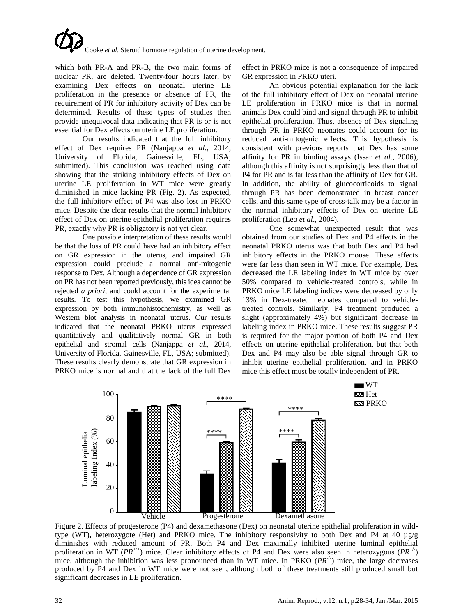which both PR-A and PR-B, the two main forms of nuclear PR, are deleted. Twenty-four hours later, by examining Dex effects on neonatal uterine LE proliferation in the presence or absence of PR, the requirement of PR for inhibitory activity of Dex can be determined. Results of these types of studies then provide unequivocal data indicating that PR is or is not essential for Dex effects on uterine LE proliferation.

Our results indicated that the full inhibitory effect of Dex requires PR (Nanjappa *et al*., 2014, University of Florida, Gainesville, FL, USA; submitted). This conclusion was reached using data showing that the striking inhibitory effects of Dex on uterine LE proliferation in WT mice were greatly diminished in mice lacking PR (Fig. 2). As expected, the full inhibitory effect of P4 was also lost in PRKO mice. Despite the clear results that the normal inhibitory effect of Dex on uterine epithelial proliferation requires PR, exactly why PR is obligatory is not yet clear.

One possible interpretation of these results would be that the loss of PR could have had an inhibitory effect on GR expression in the uterus, and impaired GR expression could preclude a normal anti-mitogenic response to Dex. Although a dependence of GR expression on PR has not been reported previously, this idea cannot be rejected *a priori*, and could account for the experimental results. To test this hypothesis, we examined GR expression by both immunohistochemistry, as well as Western blot analysis in neonatal uterus. Our results indicated that the neonatal PRKO uterus expressed quantitatively and qualitatively normal GR in both epithelial and stromal cells (Nanjappa *et al*., 2014, University of Florida, Gainesville, FL, USA; submitted). These results clearly demonstrate that GR expression in PRKO mice is normal and that the lack of the full Dex

effect in PRKO mice is not a consequence of impaired GR expression in PRKO uteri.

An obvious potential explanation for the lack of the full inhibitory effect of Dex on neonatal uterine LE proliferation in PRKO mice is that in normal animals Dex could bind and signal through PR to inhibit epithelial proliferation. Thus, absence of Dex signaling through PR in PRKO neonates could account for its reduced anti-mitogenic effects. This hypothesis is consistent with previous reports that Dex has some affinity for PR in binding assays (Issar *et al*[., 2006\)](#page-6-23), although this affinity is not surprisingly less than that of P4 for PR and is far less than the affinity of Dex for GR. In addition, the ability of glucocorticoids to signal through PR has been demonstrated in breast cancer cells, and this same type of cross-talk may be a factor in the normal inhibitory effects of Dex on uterine LE proliferation (Leo *et al*[., 2004\)](#page-6-24).

One somewhat unexpected result that was obtained from our studies of Dex and P4 effects in the neonatal PRKO uterus was that both Dex and P4 had inhibitory effects in the PRKO mouse. These effects were far less than seen in WT mice. For example, Dex decreased the LE labeling index in WT mice by over 50% compared to vehicle-treated controls, while in PRKO mice LE labeling indices were decreased by only 13% in Dex-treated neonates compared to vehicletreated controls. Similarly, P4 treatment produced a slight (approximately 4%) but significant decrease in labeling index in PRKO mice. These results suggest PR is required for the major portion of both P4 and Dex effects on uterine epithelial proliferation, but that both Dex and P4 may also be able signal through GR to inhibit uterine epithelial proliferation, and in PRKO mice this effect must be totally independent of PR.



Figure 2. Effects of progesterone (P4) and dexamethasone (Dex) on neonatal uterine epithelial proliferation in wildtype (WT)**,** heterozygote (Het) and PRKO mice. The inhibitory responsivity to both Dex and P4 at 40 µg/g diminishes with reduced amount of PR. Both P4 and Dex maximally inhibited uterine luminal epithelial proliferation in WT ( $PR^{+/+}$ ) mice. Clear inhibitory effects of P4 and Dex were also seen in heterozygous ( $PR^{+/}$ ) mice, although the inhibition was less pronounced than in WT mice. In PRKO  $(PR^{-/-})$  mice, the large decreases produced by P4 and Dex in WT mice were not seen, although both of these treatments still produced small but significant decreases in LE proliferation.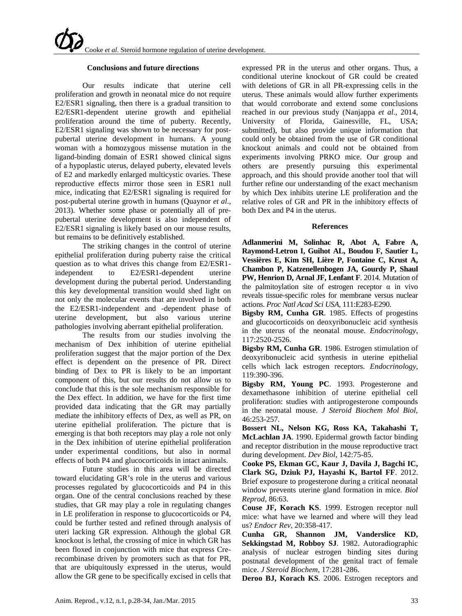#### **Conclusions and future directions**

Our results indicate that uterine cell proliferation and growth in neonatal mice do not require E2/ESR1 signaling, then there is a gradual transition to E2/ESR1-dependent uterine growth and epithelial proliferation around the time of puberty. Recently, E2/ESR1 signaling was shown to be necessary for postpubertal uterine development in humans. A young woman with a homozygous missense mutation in the ligand-binding domain of ESR1 showed clinical signs of a hypoplastic uterus, delayed puberty, elevated levels of E2 and markedly enlarged multicystic ovaries. These reproductive effects mirror those seen in ESR1 null mice, indicating that E2/ESR1 signaling is required for post-pubertal uterine growth in humans [\(Quaynor](#page-6-25) *et al*., [2013\)](#page-6-25). Whether some phase or potentially all of prepubertal uterine development is also independent of E2/ESR1 signaling is likely based on our mouse results, but remains to be definitively established.

The striking changes in the control of uterine epithelial proliferation during puberty raise the critical question as to what drives this change from E2/ESR1 independent to E2/ESR1-dependent uterine development during the pubertal period. Understanding this key developmental transition would shed light on not only the molecular events that are involved in both the E2/ESR1-independent and -dependent phase of uterine development, but also various uterine pathologies involving aberrant epithelial proliferation.

The results from our studies involving the mechanism of Dex inhibition of uterine epithelial proliferation suggest that the major portion of the Dex effect is dependent on the presence of PR. Direct binding of Dex to PR is likely to be an important component of this, but our results do not allow us to conclude that this is the sole mechanism responsible for the Dex effect. In addition, we have for the first time provided data indicating that the GR may partially mediate the inhibitory effects of Dex, as well as PR, on uterine epithelial proliferation. The picture that is emerging is that both receptors may play a role not only in the Dex inhibition of uterine epithelial proliferation under experimental conditions, but also in normal effects of both P4 and glucocorticoids in intact animals.

Future studies in this area will be directed toward elucidating GR's role in the uterus and various processes regulated by glucocorticoids and P4 in this organ. One of the central conclusions reached by these studies, that GR may play a role in regulating changes in LE proliferation in response to glucocorticoids or P4, could be further tested and refined through analysis of uteri lacking GR expression. Although the global GR knockout is lethal, the crossing of mice in which GR has been floxed in conjunction with mice that express Crerecombinase driven by promoters such as that for PR, that are ubiquitously expressed in the uterus, would allow the GR gene to be specifically excised in cells that

expressed PR in the uterus and other organs. Thus, a conditional uterine knockout of GR could be created with deletions of GR in all PR-expressing cells in the uterus. These animals would allow further experiments that would corroborate and extend some conclusions reached in our previous study (Nanjappa *et al*., 2014, University of Florida, Gainesville, FL, USA; submitted), but also provide unique information that could only be obtained from the use of GR conditional knockout animals and could not be obtained from experiments involving PRKO mice. Our group and others are presently pursuing this experimental approach, and this should provide another tool that will further refine our understanding of the exact mechanism by which Dex inhibits uterine LE proliferation and the relative roles of GR and PR in the inhibitory effects of both Dex and P4 in the uterus.

#### **References**

<span id="page-5-0"></span>**Adlanmerini M, Solinhac R, Abot A, Fabre A, Raymond-Letron I, Guihot AL, Boudou F, Sautier L, Vessières E, Kim SH, Lière P, Fontaine C, Krust A, Chambon P, Katzenellenbogen JA, Gourdy P, Shaul PW, Henrion D, Arnal JF, Lenfant F**. 2014. Mutation of the palmitoylation site of estrogen receptor  $\alpha$  in vivo reveals tissue-specific roles for membrane versus nuclear actions. *Proc Natl Acad Sci USA*, 111:E283-E290.

<span id="page-5-4"></span>**Bigsby RM, Cunha GR**. 1985. Effects of progestins and glucocorticoids on deoxyribonucleic acid synthesis in the uterus of the neonatal mouse. *Endocrinology*, 117:2520-2526.

<span id="page-5-3"></span>**Bigsby RM, Cunha GR**. 1986. Estrogen stimulation of deoxyribonucleic acid synthesis in uterine epithelial cells which lack estrogen receptors. *Endocrinology*, 119:390-396.

<span id="page-5-8"></span>**Bigsby RM, Young PC**. 1993. Progesterone and dexamethasone inhibition of uterine epithelial cell proliferation: studies with antiprogesterone compounds in the neonatal mouse. *J Steroid Biochem Mol Biol*, 46:253-257.

<span id="page-5-7"></span>**Bossert NL, Nelson KG, Ross KA, Takahashi T, McLachlan JA**. 1990. Epidermal growth factor binding and receptor distribution in the mouse reproductive tract during development. *Dev Biol*, 142:75-85.

<span id="page-5-6"></span>**Cooke PS, Ekman GC, Kaur J, Davila J, Bagchi IC, Clark SG, Dziuk PJ, Hayashi K, Bartol FF**. 2012. Brief exposure to progesterone during a critical neonatal window prevents uterine gland formation in mice. *Biol Reprod*, 86:63.

<span id="page-5-1"></span>**Couse JF, Korach KS**. 1999. Estrogen receptor null mice: what have we learned and where will they lead us? *Endocr Rev*, 20:358-417.

<span id="page-5-5"></span>**Cunha GR, Shannon JM, Vanderslice KD, Sekkingstad M, Robboy SJ**. 1982. Autoradiographic analysis of nuclear estrogen binding sites during postnatal development of the genital tract of female mice. *J Steroid Biochem*, 17:281-286.

<span id="page-5-2"></span>**Deroo BJ, Korach KS**. 2006. Estrogen receptors and